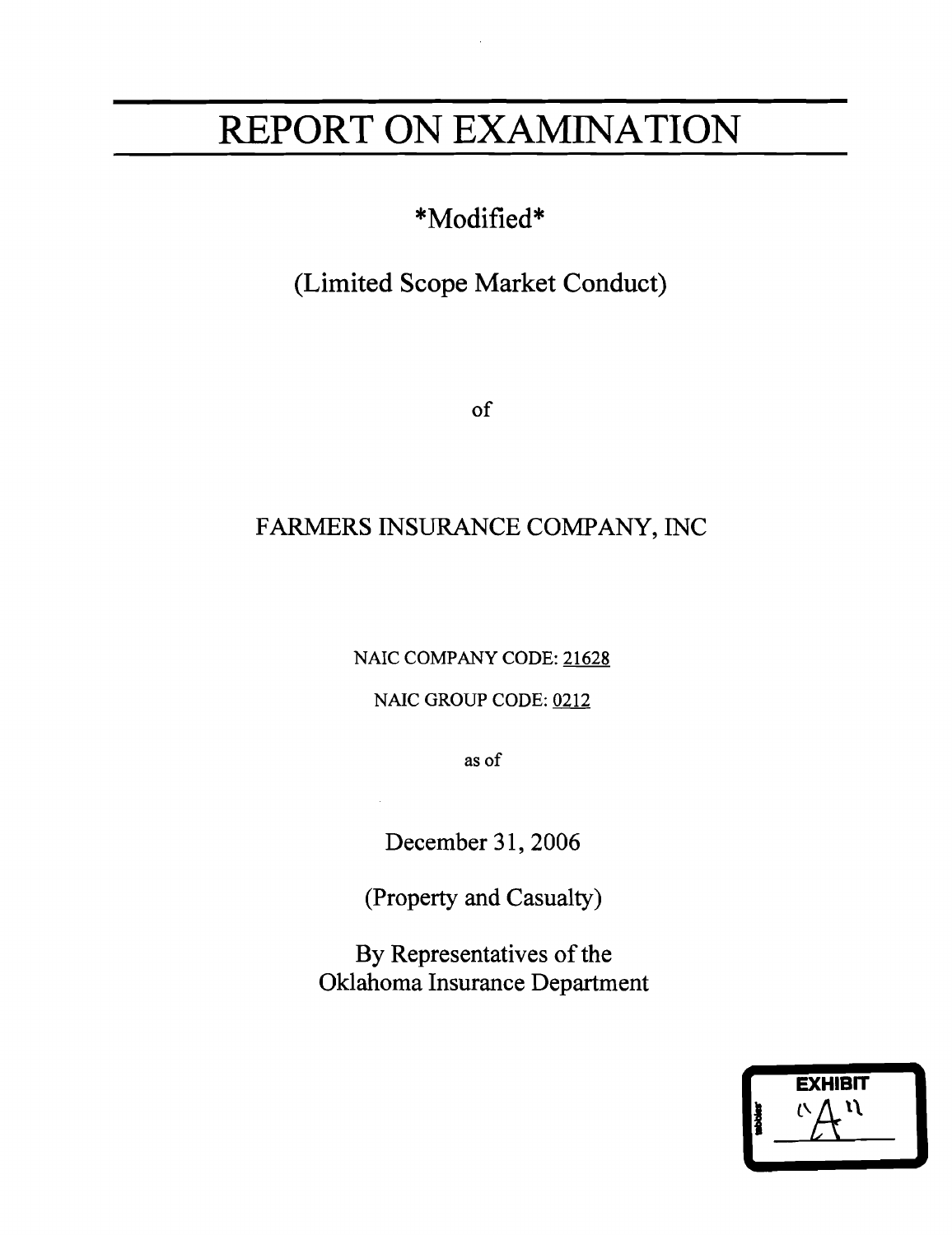# **REPORT ON EXAMINATION**

# \*Modified\*

# (Limited Scope Market Conduct)

of

# FARMERS INSIJRANCE COMPANY, INC

NAIC COMPANY CODE: <u>21628</u>

NAIC GROUP CODE: 0212

as of

December 31, 2006

(Property and Casualty)

By Representatives of the Oklahoma Insurance Department

|   | <b>EXHIBIT</b> |  |
|---|----------------|--|
| ł |                |  |
|   |                |  |
|   |                |  |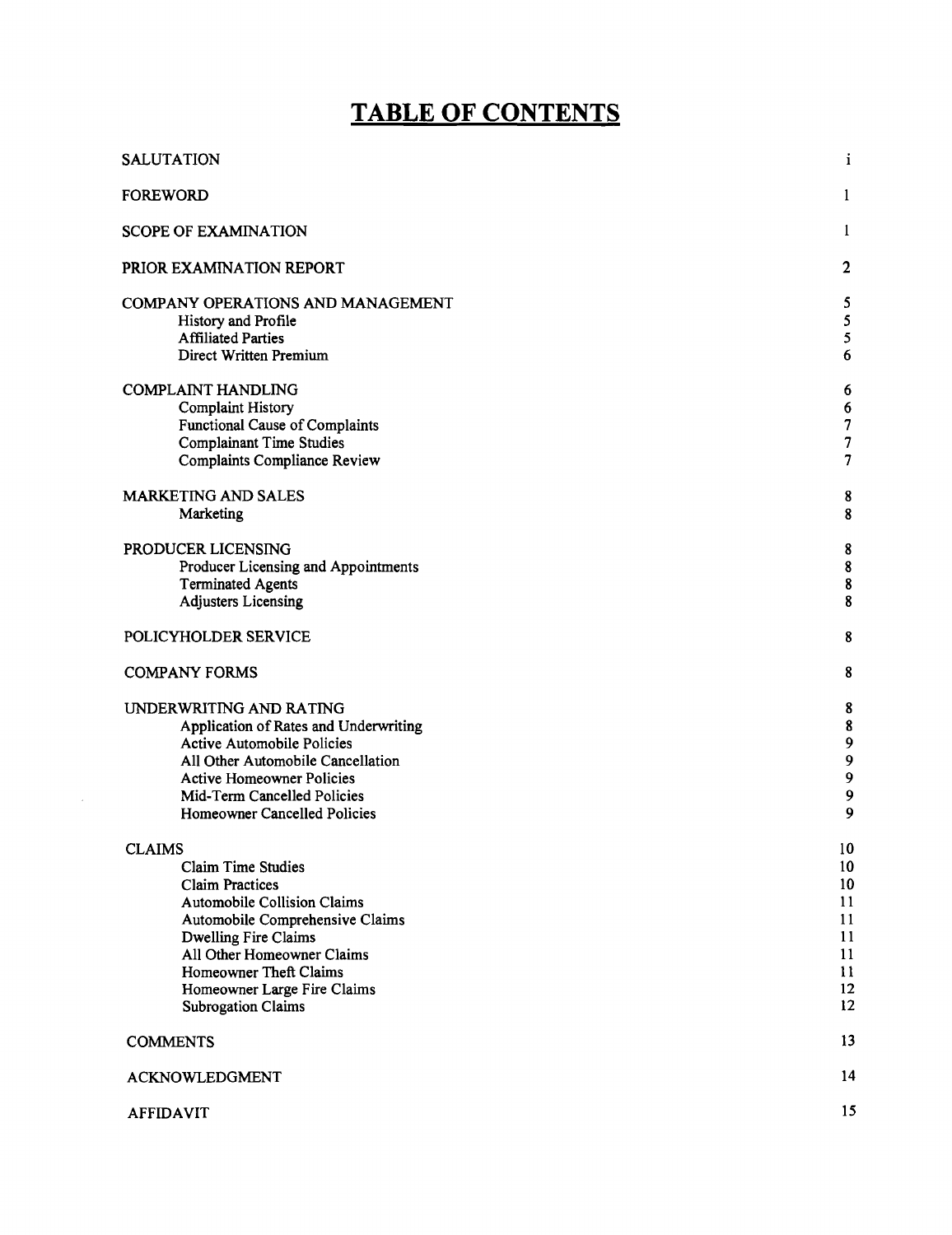# **TABLE OF CONTENTS**

| <b>SALUTATION</b>                                                                                                                                                                                                                                                        | $\mathbf{i}$                                       |
|--------------------------------------------------------------------------------------------------------------------------------------------------------------------------------------------------------------------------------------------------------------------------|----------------------------------------------------|
| <b>FOREWORD</b>                                                                                                                                                                                                                                                          | -1                                                 |
| <b>SCOPE OF EXAMINATION</b>                                                                                                                                                                                                                                              | $\mathbf{1}$                                       |
| PRIOR EXAMINATION REPORT                                                                                                                                                                                                                                                 | $\mathbf{2}$                                       |
| COMPANY OPERATIONS AND MANAGEMENT<br>History and Profile<br><b>Affiliated Parties</b><br>Direct Written Premium                                                                                                                                                          | 5<br>5<br>5<br>6                                   |
| <b>COMPLAINT HANDLING</b><br>Complaint History<br><b>Functional Cause of Complaints</b><br><b>Complainant Time Studies</b><br><b>Complaints Compliance Review</b>                                                                                                        | 6<br>6<br>$\pmb{7}$<br>$\pmb{7}$<br>$\overline{7}$ |
| <b>MARKETING AND SALES</b><br>Marketing                                                                                                                                                                                                                                  | 8<br>8                                             |
| PRODUCER LICENSING<br>Producer Licensing and Appointments<br><b>Terminated Agents</b><br><b>Adjusters Licensing</b>                                                                                                                                                      | 8<br>${\bf 8}$<br>$\pmb{8}$<br>8                   |
| POLICYHOLDER SERVICE                                                                                                                                                                                                                                                     | 8                                                  |
| <b>COMPANY FORMS</b>                                                                                                                                                                                                                                                     | 8                                                  |
| UNDERWRITING AND RATING<br>Application of Rates and Underwriting<br><b>Active Automobile Policies</b><br>All Other Automobile Cancellation<br><b>Active Homeowner Policies</b><br>Mid-Term Cancelled Policies<br>Homeowner Cancelled Policies                            | 8<br>$\bf 8$<br>9<br>9<br>9<br>9<br>9              |
| <b>CLAIMS</b>                                                                                                                                                                                                                                                            | 10 <sub>1</sub>                                    |
| <b>Claim Time Studies</b><br><b>Claim Practices</b><br><b>Automobile Collision Claims</b><br>Automobile Comprehensive Claims<br>Dwelling Fire Claims<br>All Other Homeowner Claims<br>Homeowner Theft Claims<br>Homeowner Large Fire Claims<br><b>Subrogation Claims</b> | 10<br>10<br>11<br>11<br>11<br>11<br>11<br>12<br>12 |
| <b>COMMENTS</b>                                                                                                                                                                                                                                                          | 13                                                 |
| <b>ACKNOWLEDGMENT</b>                                                                                                                                                                                                                                                    | 14                                                 |
| <b>AFFIDAVIT</b>                                                                                                                                                                                                                                                         | 15                                                 |

 $\mathcal{A}^{\mathcal{A}}$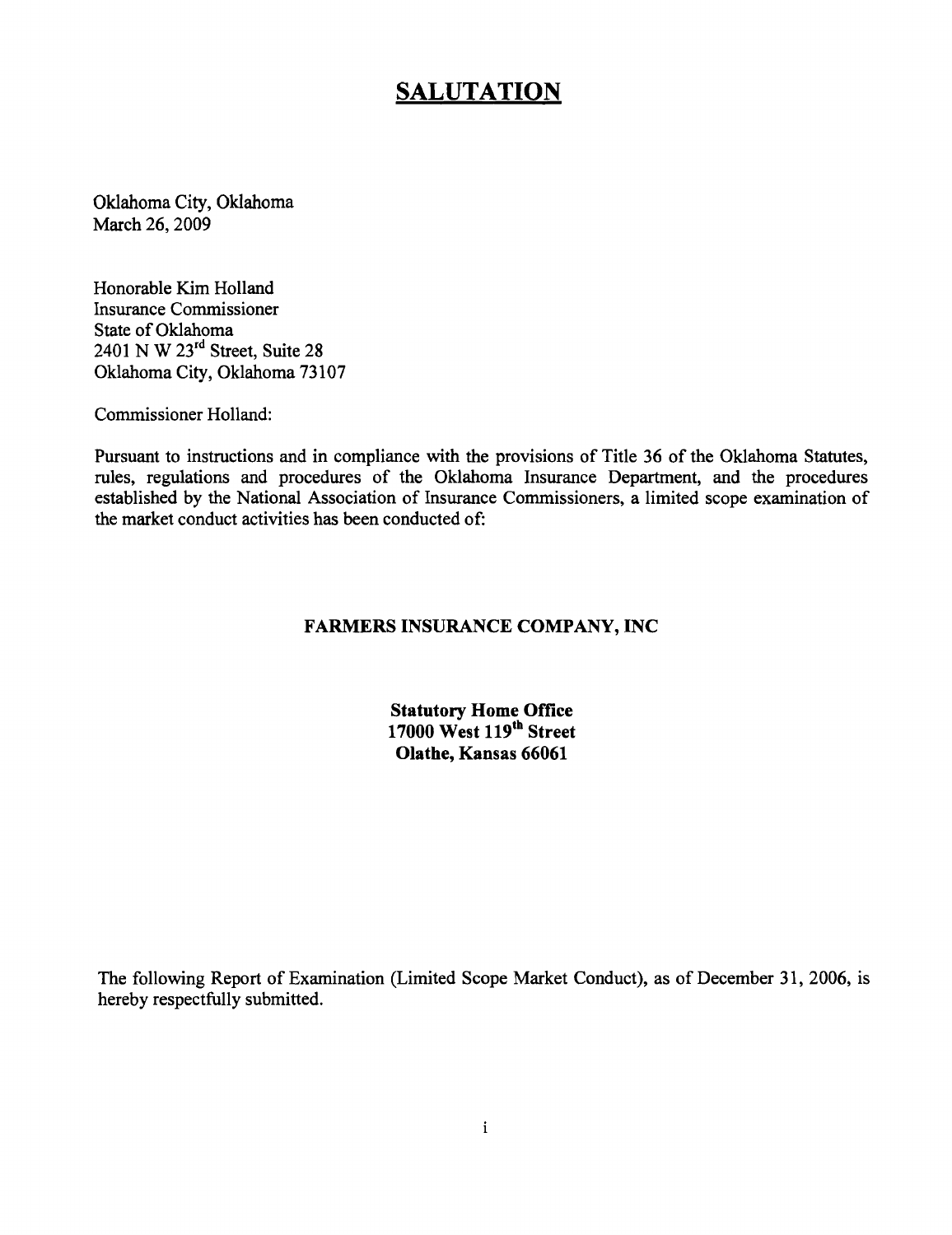### **SALUTATION**

Oklahoma City, Oklahoma March 26, 2009

Honorable Kim Holland Insurance Commissioner State of Oklahoma 2401 N W 23rd Street, Suite 28 Oklahoma City, Oklahoma 73107

Commissioner Holland:

Pursuant to instructions and in compliance with the provisions of Title 36 of the Oklahoma Statutes, rules, regulations and procedures of the Oklahoma Insurance Department, and the procedures established by the National Association of Insurance Commissioners, a limited scope examination of the market conduct activities has been conducted of:

#### **FARMERS INSURANCE COMPANY, INC**

**Statutory Home Office 17000 West 119tb Street Olathe, Kansas 66061** 

The following Report of Examination (Limited Scope Market Conduct), as of December 31, 2006, is hereby respectfully submitted.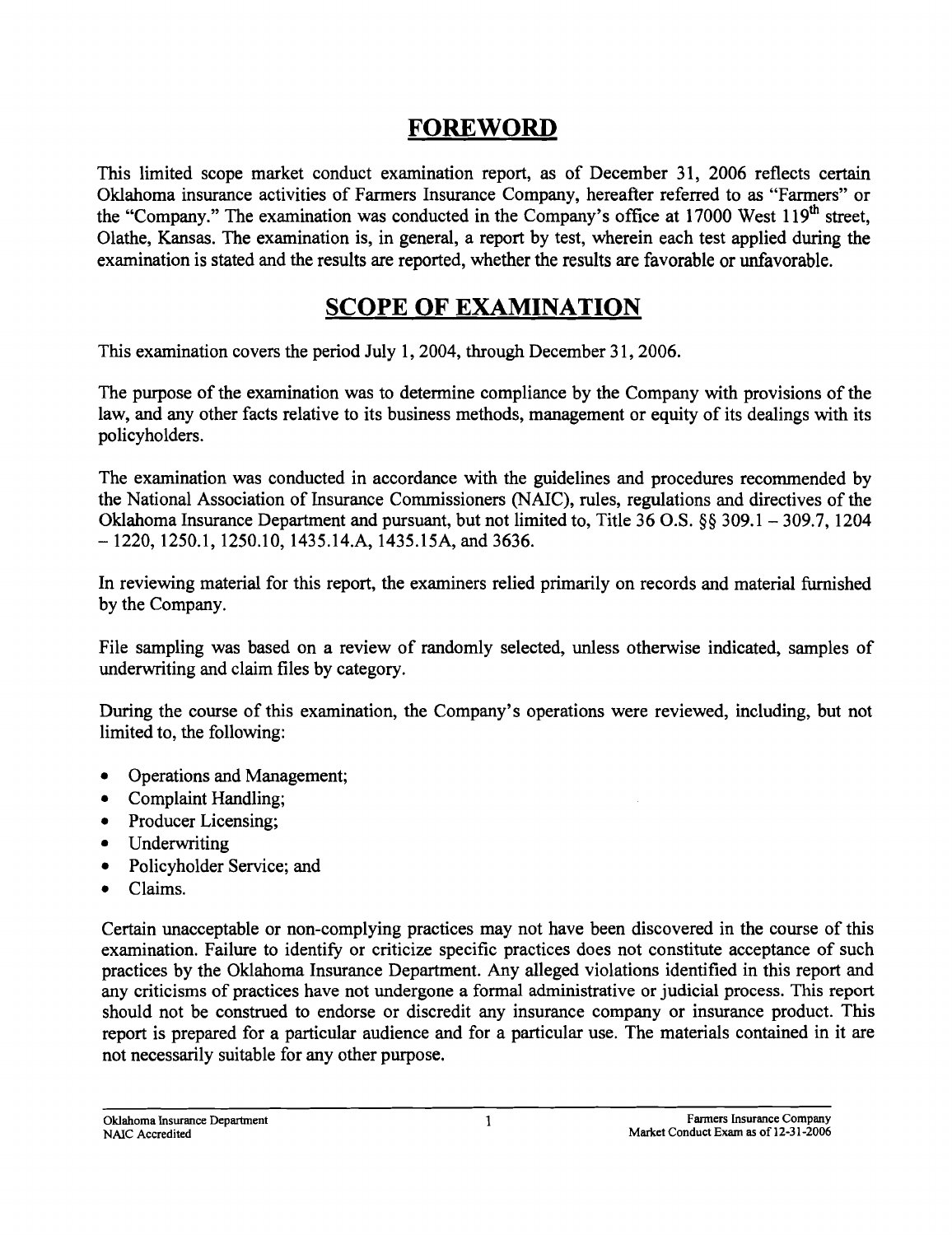## **FOREWORD**

This limited scope market conduct examination report, as of December 31, 2006 reflects certain Oklahoma insurance activities of Farmers Insurance Company, hereafter referred to as "Farmers" or the "Company." The examination was conducted in the Company's office at  $17000$  West  $119<sup>th</sup>$  street, Olathe, Kansas. The examination is, in general, a report by test, wherein each test applied during the examination is stated and the results are reported, whether the results are favorable or unfavorable.

# **SCOPE OF EXAMINATION**

This examination covers the period July 1, 2004, through December 31, 2006.

The purpose of the examination was to detennine compliance by the Company with provisions of the law, and any other facts relative to its business methods, management or equity of its dealings with its policyholders.

The examination was conducted in accordance with the guidelines and procedures recommended by the National Association of Insurance Commissioners (NAIC), rules, regulations and directives of the Oklahoma Insurance Department and pursuant, but not limited to, Title 36 O.S. §§ 309.1 - 309.7, 1204 - 1220, 1250.1, 1250.10, 1435.14.A, 1435.15A, and 3636.

In reviewing material for this report, the examiners relied primarily on records and material furnished by the Company.

File sampling was based on a review of randomly selected, unless otherwise indicated, samples of underwriting and claim files by category.

During the course of this examination, the Company's operations were reviewed, including, but not limited to, the following:

- Operations and Management;
- Complaint Handling;
- Producer Licensing;
- Underwriting
- Policyholder Service; and
- Claims.

Certain unacceptable or non-complying practices may not have been discovered in the course of this examination. Failure to identify or criticize specific practices does not constitute acceptance of such practices by the Oklahoma Insurance Department. Any alleged violations identified in this report and any criticisms of practices have not undergone a fonnal administrative or judicial process. This report should not be construed to endorse or discredit any insurance company or insurance product. This report is prepared for a particular audience and for a particular use. The materials contained in it are not necessarily suitable for any other purpose.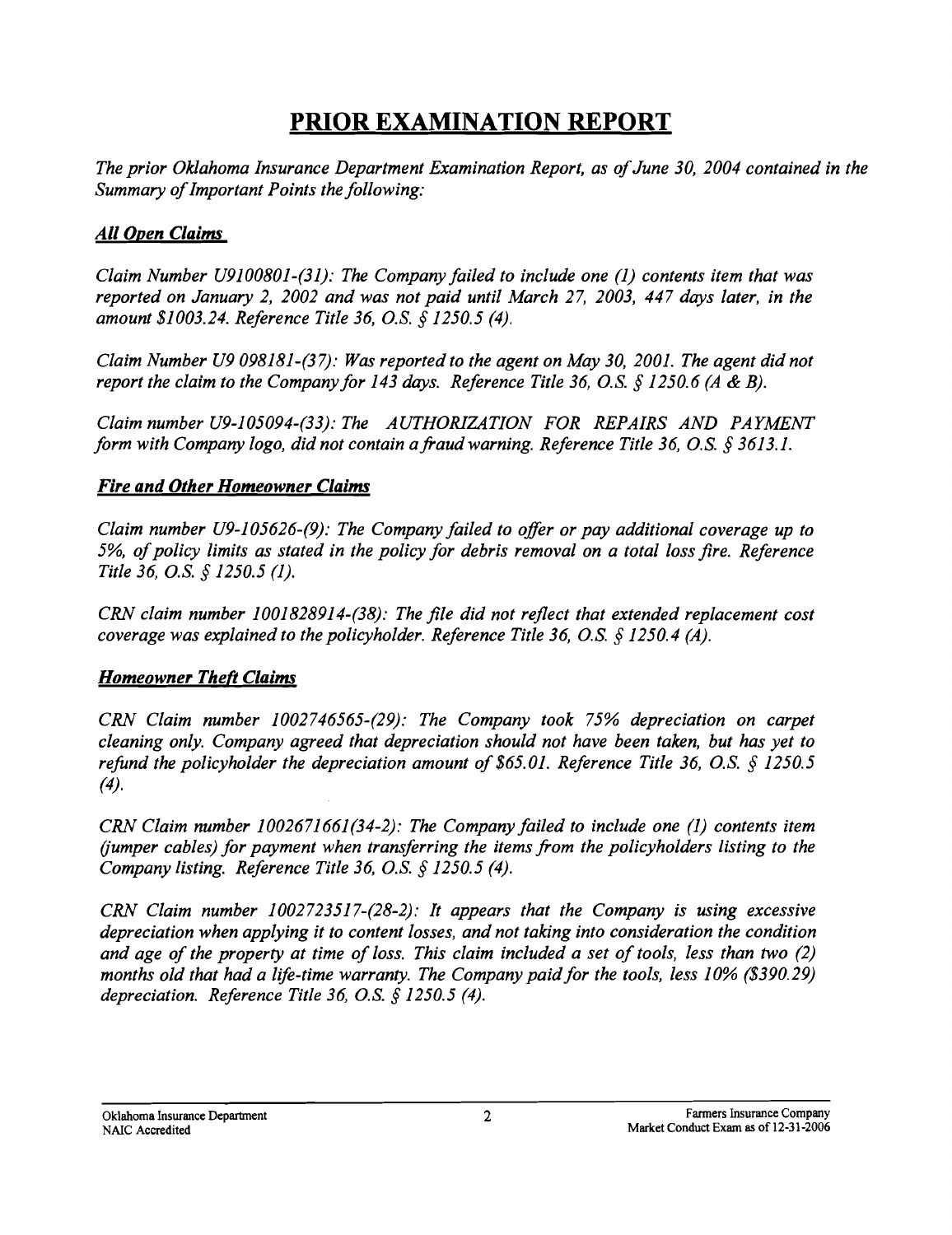# **PRIOR EXAMINATION REPORT**

The prior Oklahoma Insurance Department Examination Report, as of June 30, 2004 contained in the *Summary ofImportant Points the following:* 

### *All Open Claims*

*Claim Number U9100801-(31): The Company failed to include one* (1) *contents item that was reported on January* 2, *2002 and was not paid until March* 27, *2003,* 447 *days later, in the amount \$1003.24. Reference Title* 36, *o.S.* § *1250.5 (4).* 

*Claim Number U9098181-(37): Was reported to the agent on May 30, 2001. The agent did not report the claim to the Company for* 143 *days. Reference Title* 36, *o.S.* § *1250.6 (A* & *B).* 

*Claim number U9-105094-(33): The AUTHORIZATION FOR REPAIRS AND PAYMENT form with Company logo, did not contain a fraud warning. Reference Title 36, O.S. § 3613.1.* 

### *Fire and Other Homeowner Claims*

*Claim number U9-105626-(9): The Company failed to offer or pay additional coverage up to 5%, ofpolicy limits as stated in the policy for debris removal on a total loss fire. Reference Title* 36, *o.S.* § *1250.5 (1).* 

*CRN claim number 1001828914-(38): The file did not reflect that extended replacement cost coverage was explained to the policyholder. Reference Title* 36, *o.S.* § *1250.4 (A).* 

### **Homeowner Theft Claims**

*CRN Claim number 1002746565-(29): The Company took* 75% *depreciation on carpet cleaning only. Company agreed that depreciation should not have been taken, but has yet to refund the policyholder the depreciation amount of \$65.01. Reference Title 36, O.S. § 1250.5* (4).

*CRN Claim number 1002671661(34-2): The Company failed to include one (1) contents item (jumper cables) for payment when transferring the items from the policyholders listing to the Company listing. Reference Title* 36, *o.S.* § *1250.5 (4).* 

*CRN Claim number 1002723517-(28-2): It appears that the Company is using excessive depreciation when applying it to content losses, and not taking into consideration the condition and age of the property at time of loss. This claim included a set of tools, less than two (2)* months old that had a life-time warranty. The Company paid for the tools, less 10% (\$390.29) *depreciation. Reference Title* 36, *o.S.* § *1250.5 (4).*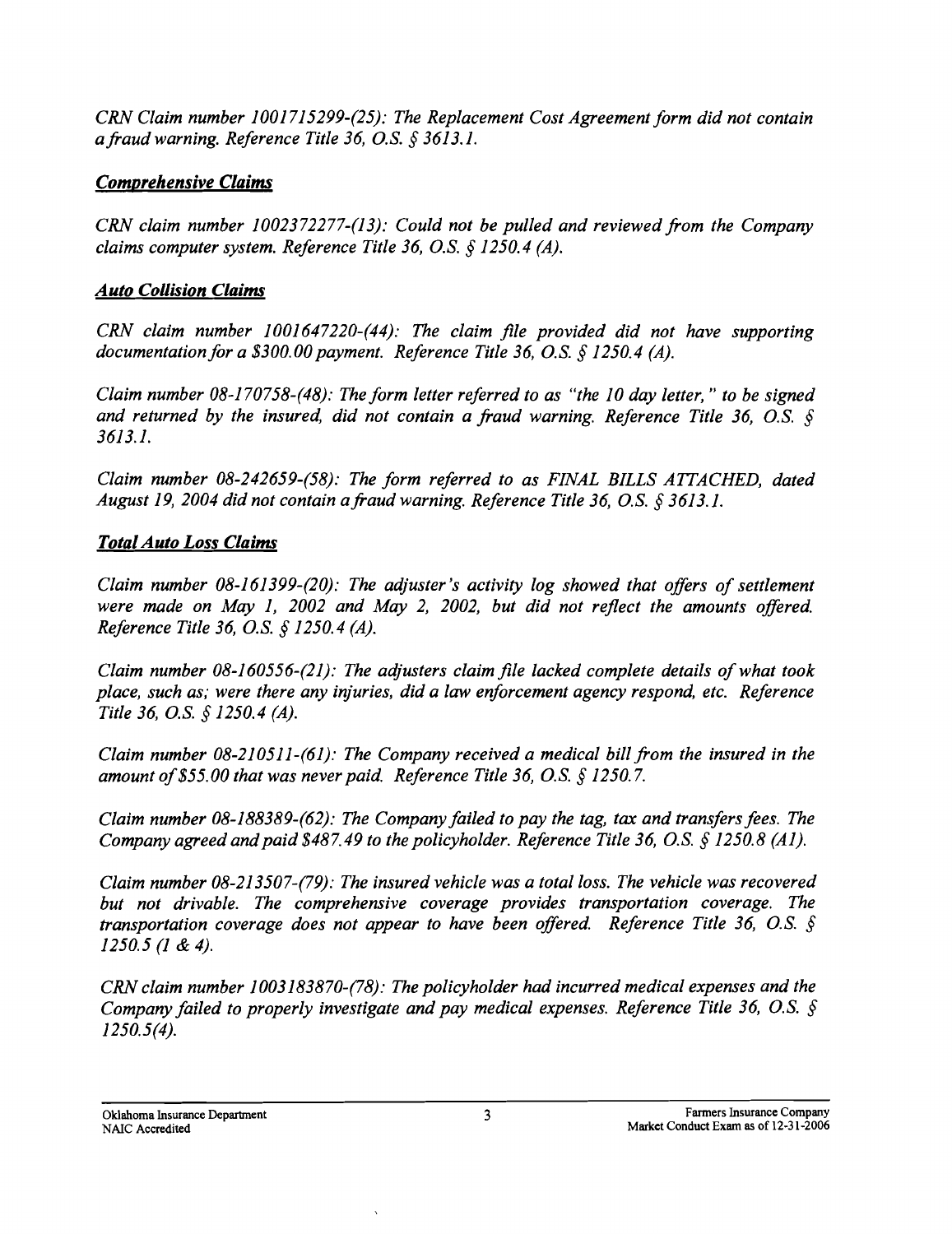*CRN Claim number 1001715299-(25): The Replacement Cost Agreement form did not contain a fraud warning. Reference Title* 36, *o.S.* § 3613.1.

### *Comprehensive Claims*

*CRN claim number 1002372277-(13): Could not be pulled and reviewed.from the Company claims computer system. Reference Title* 36, o.s. § *1250.4 (A).* 

### *Auto Collision Claims*

*CRN claim number 1001647220-(44): The claim file provided did not have supporting documentation for a \$300.00 payment. Reference Title 36, O.S. § 1250.4 (A).* 

*Claim number 08-170758-(48): The form letter referred to as "the 10 day letter," to be signed* and returned by the insured, did not contain a fraud warning. Reference Title 36, O.S. § 3613.1.

*Claim number 08-242659-(58): The form referred to as FINAL BILLS AITACHED, dated August* 19, *2004 did not contain afraud warning. Reference Title* 36, *o.S.* § 3613.1.

### *Total Auto Loss Claims*

*Claim number 08-161399-(20): The adjuster's activity log showed that offers of settlement were made on May* 1, *2002 and May* 2, *2002, but did not reflect the amounts offered. Reference Title* 36, *o.S.* § *1250.4 (A).* 

*Claim number 08-160556-(21): The adjusters claim file lacked complete details of what took place, such as; were there any injuries, did a law enforcement agency respond, etc. Reference Title* 36, o.s. § *1250.4 (A).* 

*Claim number 08-210511-(61): The Company received a medical bill from the insured in the amount of\$55.00 that was never paid. Reference Title* 36, o.s. § *1250.7.* 

*Claim number 08-188389-(62): The Company failed to pay the tag, tax and transfers fees. The Company agreed and paid \$487.49 to the policyholder. Reference Title 36, O.S. § 1250.8 (A1).* 

*Claim number 08-213507-(79): The insured vehicle was a total loss. The vehicle was recovered but not drivable. The comprehensive coverage provides transportation coverage. The transportation coverage does not appear to have been offered. Reference Title 36, O.S. § 1250.5* (1 & 4).

*CRN claim number 1003183870-(78): The policyholder had incurred medical expenses and the Company failed to properly investigate and pay medical expenses. Reference Title 36, O.S.* § *1250.5(4).*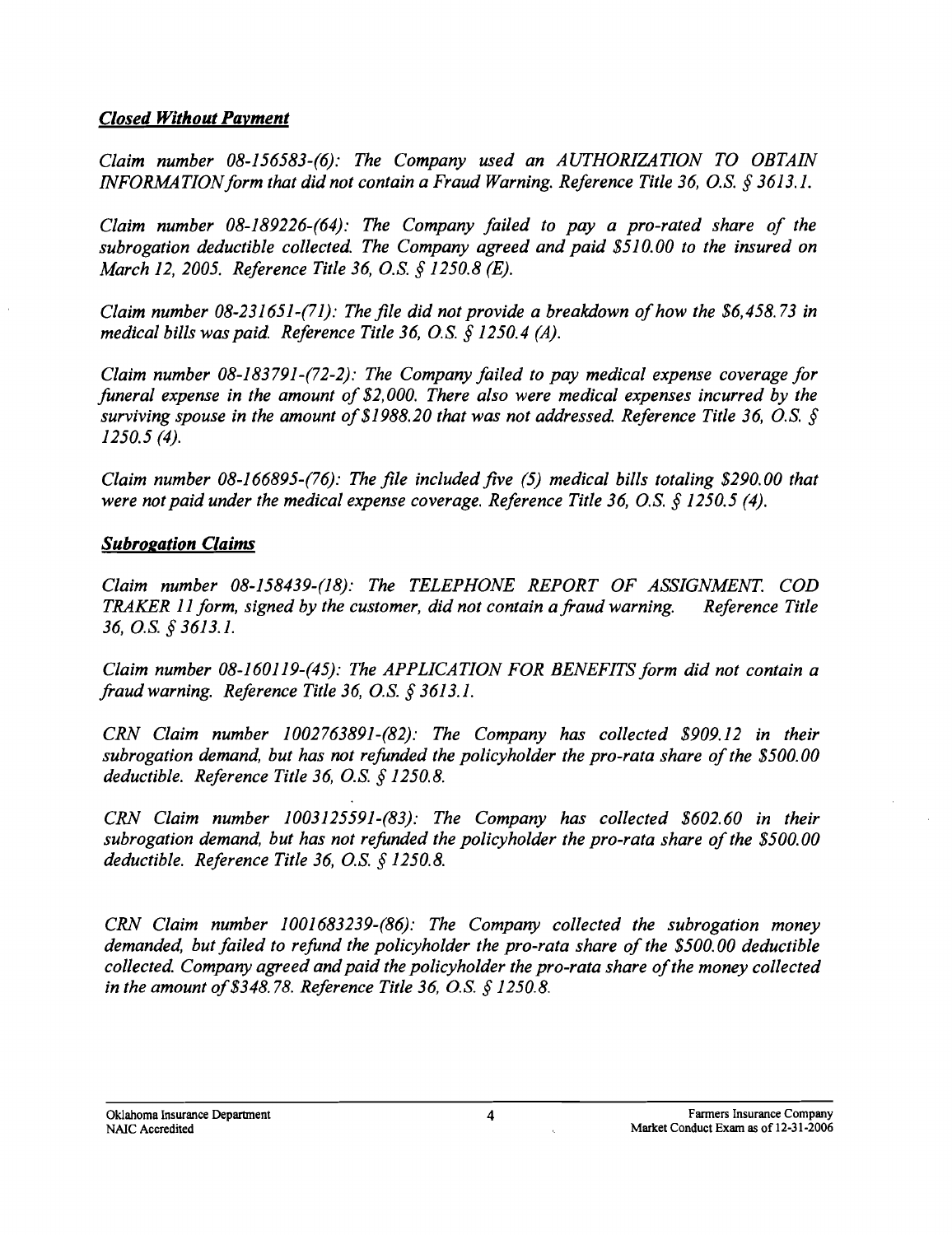#### *Closed Without Payment*

*Claim number 08-156583-(6): The Company used an AUTHORIZATION TO OBTAIN INFORMATION form that did not contain a Fraud Warning. Reference Title 36, O.S. § 3613.1.* 

*Claim number 08-189226-(64): The Company failed to pay a pro-rated share of the subrogation deductible collected. The Company agreed and paid \$510.00 to the insured on March 12,2005. Reference Title* 36, *o.S.* § *1250.8 (E).* 

*Claim number 08-231651-(71): The file did not provide a breakdown of how the \$6,458.73 in medical bills was paid. Reference Title* 36, *o.S.* § *1250.4 (A).* 

*Claim number 08-183791-(72-2): The Company failed to pay medical expense coverage for funeral expense in the amount of* \$2, *000. There also were medical expenses incurred by the surviving spouse in the amount of \$1988.20 that was not addressed. Reference Title 36, O.S. § 1250.5 (4).* 

*Claim number 08-166895-(76): The file included five* (5) *medical bills totaling \$290.00 that were not paid under the medical expense coverage. Reference Title 36, O.S. § 1250.5 (4).* 

#### *Subrogation Claims*

*Claim number 08-158439-(18): The TELEPHONE REPORT OF ASSIGNMENT. COD TRAKER* 11 *form, signed by the customer, did not contain a fraud warning. Reference Title*  36, o.s. § 3613.1.

*Claim number 08-160119-(45): The APPLICATION FOR BENEFITS form did not contain a fraud warning. Reference Title* 36, o.s. § 3613.1.

*CRN Claim number 1002763891-(82): The Company has collected \$909.12 in their subrogation demand, but has not refunded the policyholder the pro-rata share ofthe \$500.00 deductible. Reference Title* 36, o.s. § *1250.8.* 

*CRN Claim number 1003125591-(83): The Company has collected \$602.60 in their subrogation demand, but has not refunded the policyholder the pro-rata share of the \$500.00 deductible. Reference Title* 36, *o.S.* § *1250.8.* 

*CRN Claim number 1001683239-(86): The Company collected the subrogation money demanded, but failed to refund the policyholder the pro-rata share of the \$500.00 deductible collected. Company agreed and paid the policyholder the pro-rata share of the money collected in the amount of*\$348. 78. *Reference Title* 36, 0.S. § *1250.8.*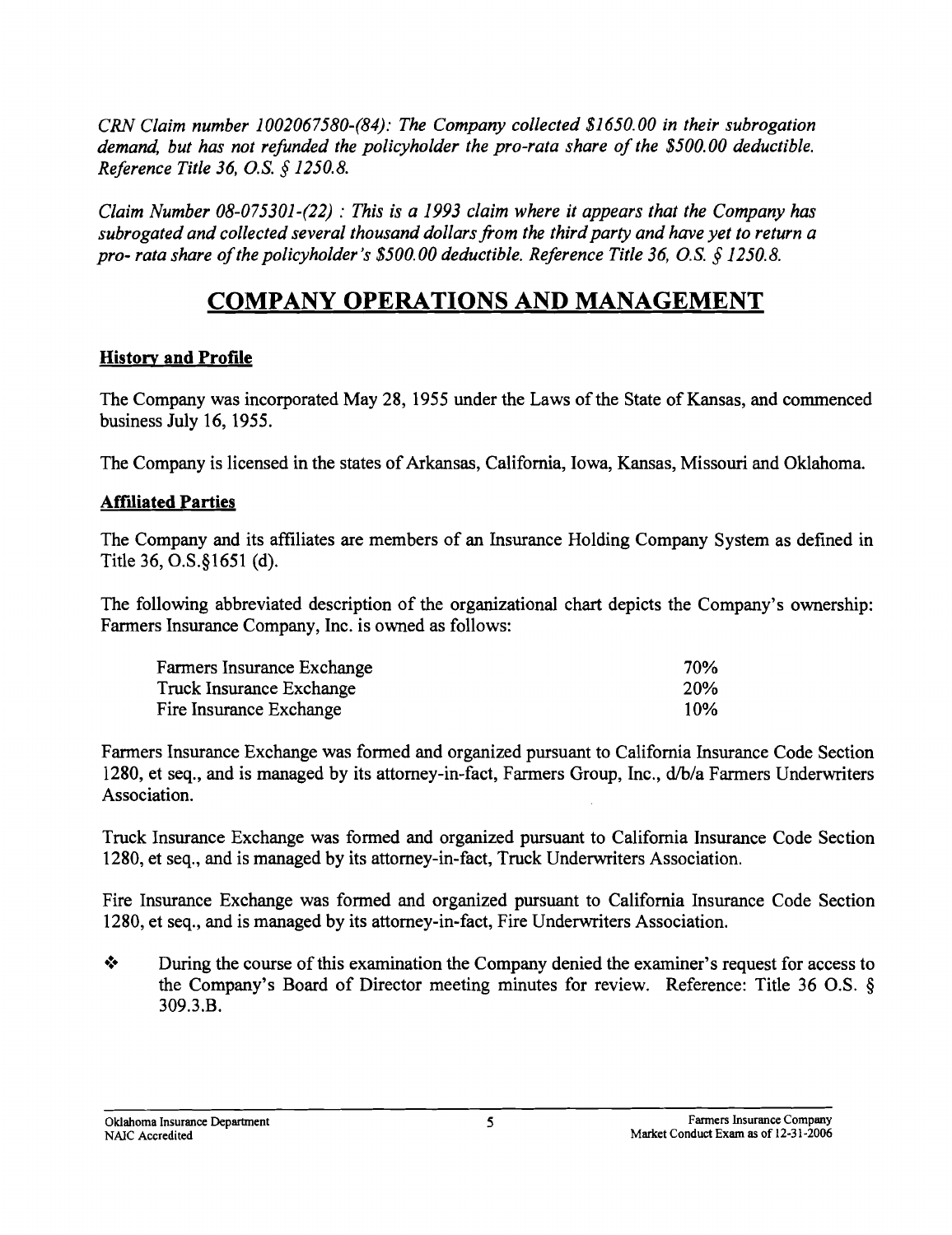*CRN Claim number 1002067580-(84): The Company collected \$1650.00 in their subrogation demand, but has not refunded the policyholder the pro-rata share of the \$500.00 deductible. Reference Title* 36, o.S. § *1250.8.* 

*Claim Number 08-075301-(22)* : *This is a* 1993 *claim where it appears that the Company has subrogated and collected several thousand dollars from the third party and have yet to return a pro- rata share of the policyholder's \$500.00 deductible. Reference Title 36, O.S. § 1250.8.* 

# **COMPANY OPERATIONS AND MANAGEMENT**

### **History and Profile**

The Company was incorporated May 28, 1955 under the Laws of the State of Kansas, and commenced business July 16, 1955.

The Company is licensed in the states of Arkansas, California, Iowa, Kansas, Missouri and Oklahoma.

### **AffIliated Parties**

The Company and its affiliates are members of an Insurance Holding Company System as defined in Title 36, 0.S.§1651 (d).

The following abbreviated description of the organizational chart depicts the Company's ownership: Farmers Insurance Company, Inc. is owned as follows:

| Farmers Insurance Exchange | 70% |
|----------------------------|-----|
| Truck Insurance Exchange   | 20% |
| Fire Insurance Exchange    | 10% |

Farmers Insurance Exchange was formed and organized pursuant to California Insurance Code Section 1280, et seq., and is managed by its attorney-in-fact, Farmers Group, Inc., d/b/a Farmers Underwriters Association.

Truck Insurance Exchange was formed and organized pursuant to California Insurance Code Section 1280, et seq., and is managed by its attorney-in-fact, Truck Underwriters Association.

Fire Insurance Exchange was formed and organized pursuant to California Insurance Code Section 1280, et seq., and is managed by its attorney-in-fact, Fire Underwriters Association.

• During the course of this examination the Company denied the examiner's request for access to the Company's Board of Director meeting minutes for review. Reference: Title 36 O.S. § 309.3.B.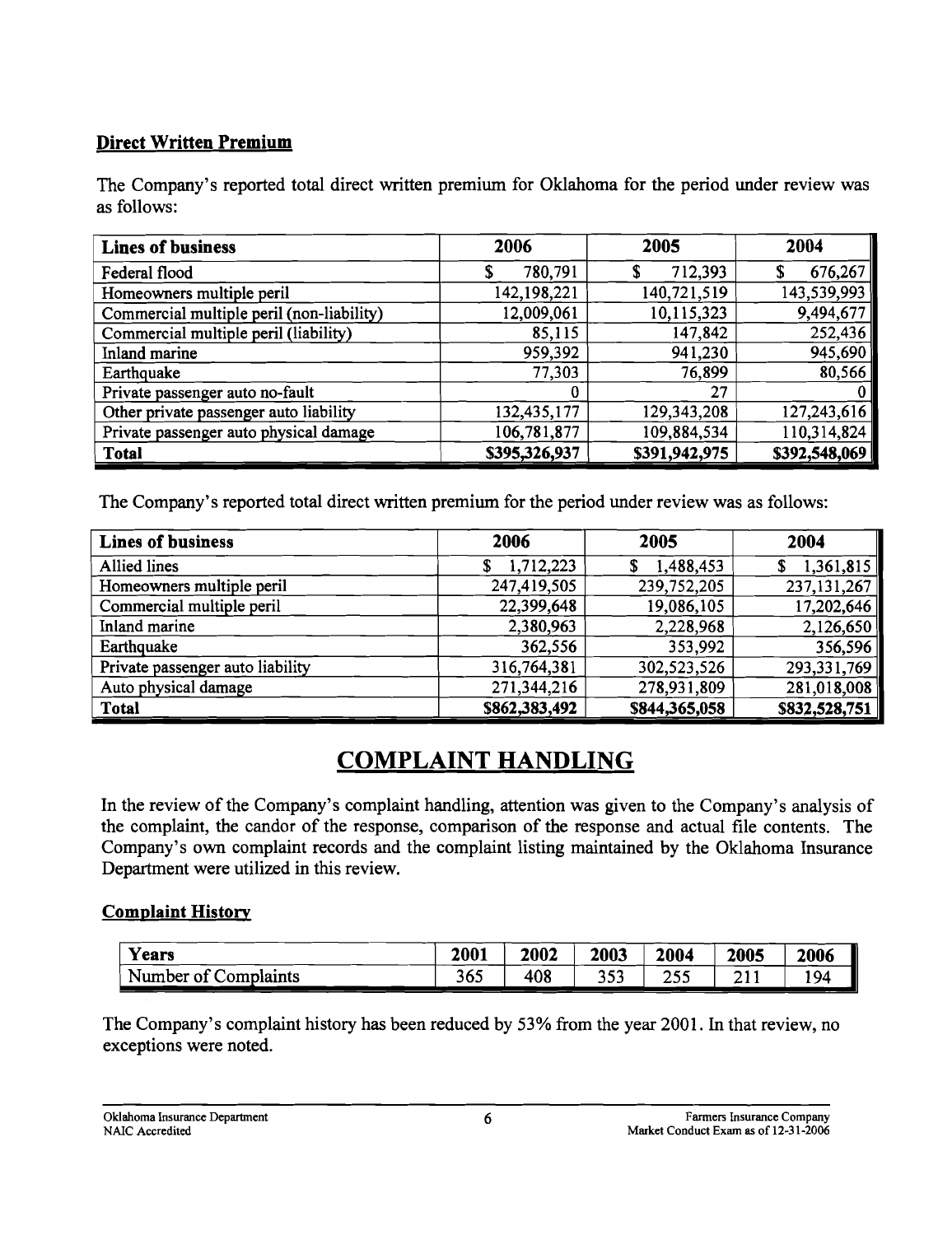### Direct Written Premium

The Company's reported total direct written premium for Oklahoma for the period under review was as follows:

| <b>Lines of business</b>                  | 2006          | 2005          | 2004           |
|-------------------------------------------|---------------|---------------|----------------|
| Federal flood                             | 780,791       | 712,393       | 676,267        |
| Homeowners multiple peril                 | 142,198,221   | 140,721,519   | 143,539,993    |
| Commercial multiple peril (non-liability) | 12,009,061    | 10,115,323    | 9,494,677      |
| Commercial multiple peril (liability)     | 85,115        | 147,842       | 252,436        |
| Inland marine                             | 959,392       | 941,230       | 945,690        |
| Earthquake                                | 77,303        | 76,899        | 80,566         |
| Private passenger auto no-fault           | 0             | 27            | 0 <sup>1</sup> |
| Other private passenger auto liability    | 132,435,177   | 129, 343, 208 | 127,243,616    |
| Private passenger auto physical damage    | 106,781,877   | 109,884,534   | 110,314,824    |
| <b>Total</b>                              | \$395,326,937 | \$391,942,975 | \$392,548,069  |

The Company's reported total direct written premium for the period under review was as follows:

| <b>Lines of business</b>         | 2006          | 2005          | 2004          |
|----------------------------------|---------------|---------------|---------------|
| Allied lines                     | 1,712,223     | 1,488,453     | 1,361,815     |
| Homeowners multiple peril        | 247,419,505   | 239,752,205   | 237,131,267   |
| Commercial multiple peril        | 22,399,648    | 19,086,105    | 17,202,646    |
| Inland marine                    | 2,380,963     | 2,228,968     | 2,126,650     |
| Earthquake                       | 362,556       | 353,992       | 356,596       |
| Private passenger auto liability | 316,764,381   | 302,523,526   | 293,331,769   |
| Auto physical damage             | 271,344,216   | 278,931,809   | 281,018,008   |
| <b>Total</b>                     | \$862,383,492 | \$844,365,058 | \$832,528,751 |

# COMPLAINT HANDLING

In the review of the Company's complaint handling, attention was given to the Company's analysis of the complaint, the candor of the response, comparison of the response and actual file contents. The Company's own complaint records and the complaint listing maintained by the Oklahoma Insurance Department were utilized in this review.

### Complaint History

| Years                     | 2001 | 2002 | 2003       | 2004        | 2005    | 2006 |
|---------------------------|------|------|------------|-------------|---------|------|
| Number of C<br>Complaints | 365  | 408  | つよつ<br>JJJ | つくぐ<br>ر رے | <b></b> | 194  |

The Company's complaint history has been reduced by 53% from the year 2001. In that review, no exceptions were noted.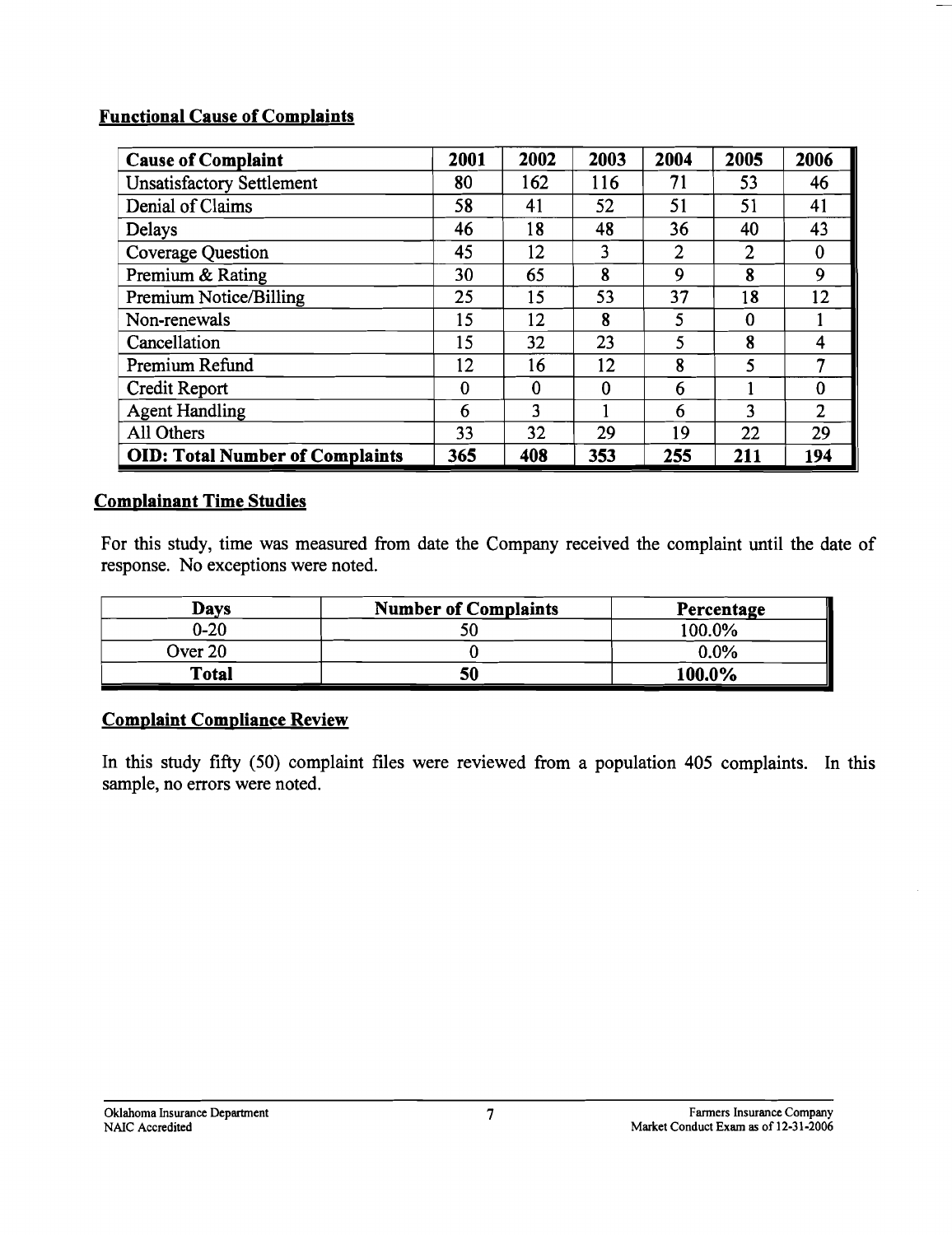### **Functional Cause of Complaints**

| <b>Cause of Complaint</b>              | 2001     | 2002     | 2003     | 2004           | 2005           | 2006           |
|----------------------------------------|----------|----------|----------|----------------|----------------|----------------|
| <b>Unsatisfactory Settlement</b>       | 80       | 162      | 116      | 71             | 53             | 46             |
| Denial of Claims                       | 58       | 41       | 52       | 51             | 51             | 41             |
| Delays                                 | 46       | 18       | 48       | 36             | 40             | 43             |
| <b>Coverage Question</b>               | 45       | 12       | 3        | $\overline{2}$ | $\overline{2}$ | 0              |
| Premium & Rating                       | 30       | 65       | 8        | 9              | 8              | 9              |
| Premium Notice/Billing                 | 25       | 15       | 53       | 37             | 18             | 12             |
| Non-renewals                           | 15       | 12       | 8        | 5              | $\theta$       |                |
| Cancellation                           | 15       | 32       | 23       | 5              | 8              | 4              |
| Premium Refund                         | 12       | 16       | 12       | 8              | 5              | 7              |
| Credit Report                          | $\Omega$ | $\bf{0}$ | $\bf{0}$ | 6              |                | 0              |
| <b>Agent Handling</b>                  | 6        | 3        |          | 6              | 3              | $\overline{2}$ |
| All Others                             | 33       | 32       | 29       | 19             | 22             | 29             |
| <b>OID: Total Number of Complaints</b> | 365      | 408      | 353      | 255            | 211            | 194            |

### **Comolainant Time Studies**

For this study, time was measured from date the Company received the complaint until the date of response. No exceptions were noted.

| Davs     | <b>Number of Complaints</b> | Percentage |
|----------|-----------------------------|------------|
| $0 - 20$ |                             | 100.0%     |
| Over 20  |                             | 0.0%       |
| Total    | 50                          | 100.0%     |

#### **Complaint Compliance Review**

In this study fifty (50) complaint files were reviewed from a population 405 complaints. In this sample, no errors were noted.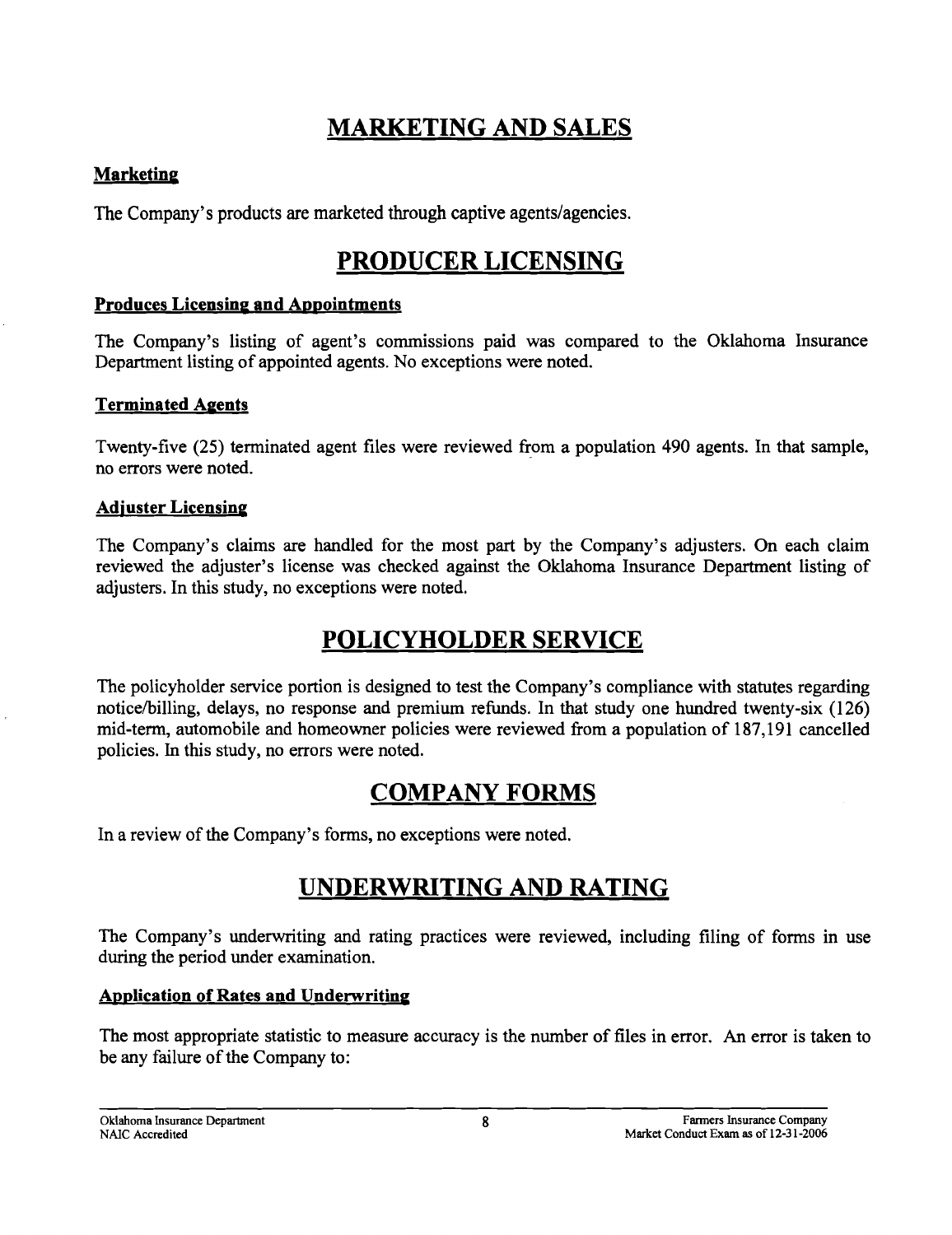# **MARKETING AND SALES**

### **Marketing**

The Company's products are marketed through captive agents/agencies.

# **PRODUCER LICENSING**

### **Produces Licensing and Appointments**

The Company's listing of agent's commissions paid was compared to the Oklahoma Insurance Department listing of appointed agents. No exceptions were noted.

### **Terminated Agents**

Twenty-five (25) terminated agent files were reviewed from a population 490 agents. In that sample, no errors were noted.

### **Adjuster Licensing**

The Company's claims are handled for the most part by the Company's adjusters. On each claim reviewed the adjuster's license was checked against the Oklahoma Insurance Department listing of adjusters. In this study, no exceptions were noted.

# **POLICYHOLDER SERVICE**

The policyholder service portion is designed to test the Company's compliance with statutes regarding noticelbilling, delays, no response and premium refunds. In that study one hundred twenty-six (126) mid-term, automobile and homeowner policies were reviewed from a population of 187,191 cancelled policies. In this study, no errors were noted.

# **COMPANY FORMS**

In a review of the Company's forms, no exceptions were noted.

# **UNDERWRITING AND RATING**

The Company's underwriting and rating practices were reviewed, including filing of forms in use during the period under examination.

### **Application of Rates and Underwriting**

The most appropriate statistic to measure accuracy is the number of files in error. An error is taken to be any failure of the Company to: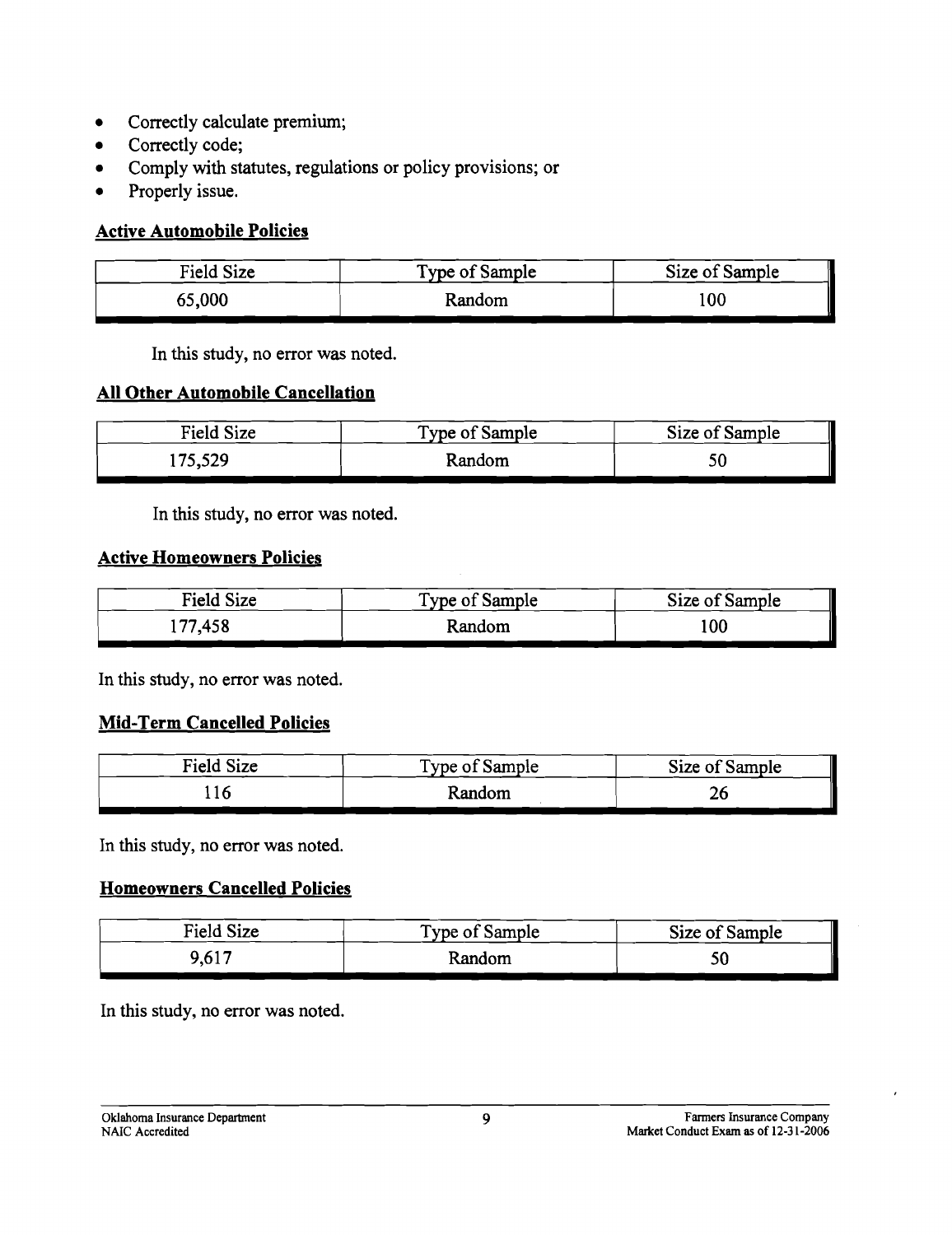- Correctly calculate premium;
- Correctly code;
- Comply with statutes, regulations or policy provisions; or
- Properly issue.

### **Active Automobile Policies**

| Field Size | Type of Sample | Size of Sample |
|------------|----------------|----------------|
| 65,000     | Random         | 100            |

In this study, no error was noted.

### **All Other Automobile Cancellation**

| Field Size | Type of Sample | Size of Sample |
|------------|----------------|----------------|
| 175,529    | Random         |                |

In this study, no error was noted.

#### **Active Homeowners Policies**

| Field Size | Type of Sample | Size of Sample |
|------------|----------------|----------------|
| 177,458    | Random         | 100            |

In this study, no error was noted.

#### **Mid-Term Cancelled Policies**

| Field Size | Type of Sample | Size of Sample |
|------------|----------------|----------------|
|            | Random         | ZU             |

In this study, no error was noted.

### **Homeowners Cancelled Policies**

| Field Size | Type of Sample | Size of Sample |
|------------|----------------|----------------|
| 9,617      | Random         |                |

In this study, no error was noted.

Oklahoma Insurance Department 9 Paramers Insurance Company of Paramers Insurance Company of Paramers Insurance Company of Paramers Insurance Company of Paramers Insurance Company of Paramers Insurance Company of Paramers I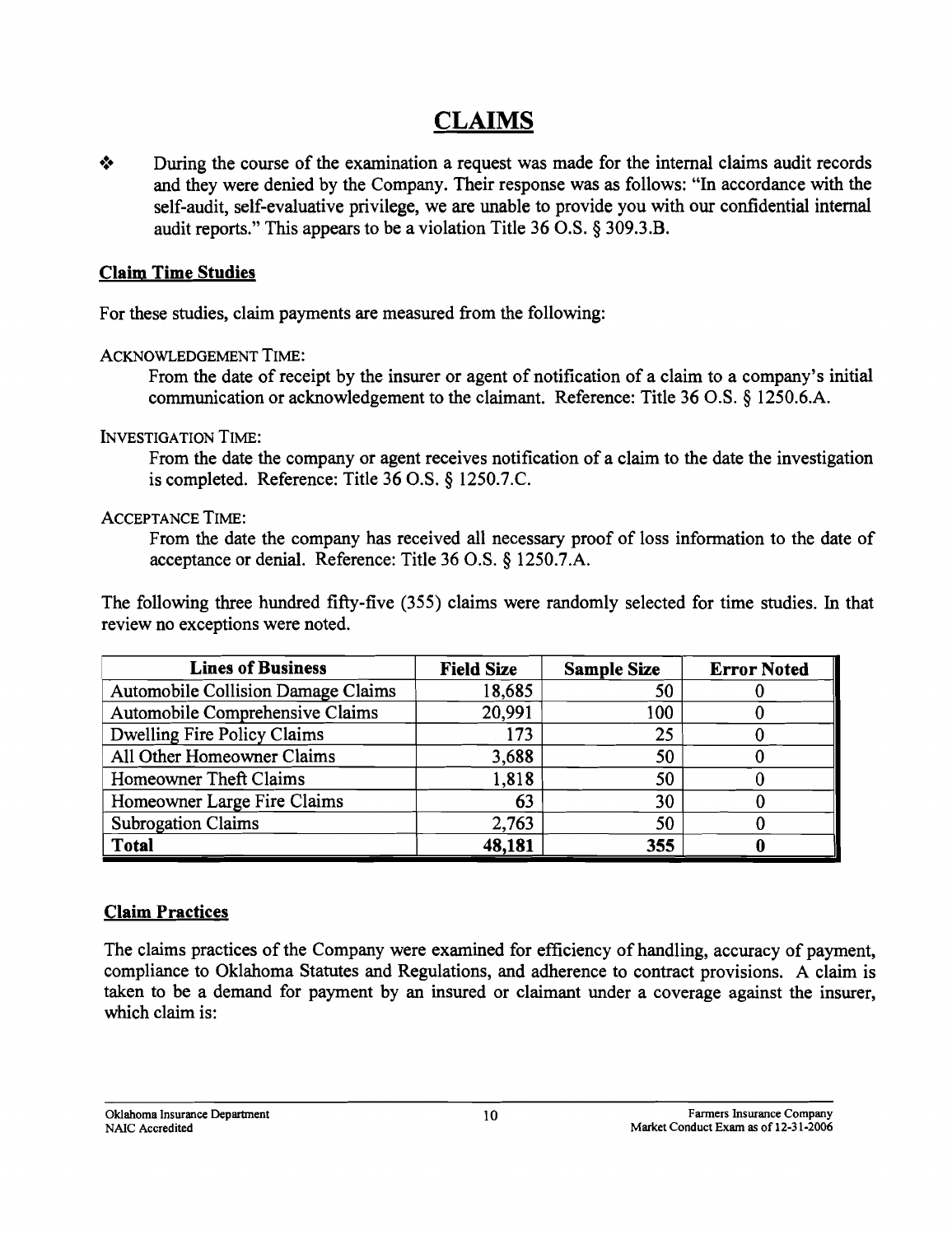## **CLAIMS**

 $\cdot$  During the course of the examination a request was made for the internal claims audit records and they were denied by the Company. Their response was as follows: "In accordance with the self-audit, self-evaluative privilege, we are unable to provide you with our confidential internal audit reports." This appears to be a violation Title 36 O.S. § 309.3.B.

#### Claim Time Studies

For these studies, claim payments are measured from the following:

#### ACKNOWLEDGEMENT TIME:

From the date of receipt by the insurer or agent of notification of a claim to a company's initial communication or acknowledgement to the claimant. Reference: Title 36 O.S. § l250.6.A.

#### INVESTIGATION TIME:

From the date the company or agent receives notification of a claim to the date the investigation is completed. Reference: Title 36 O.S. § l250.7.C.

#### ACCEPTANCE TIME:

From the date the company has received all necessary proof of loss information to the date of acceptance or denial. Reference: Title 36 O.S. § l250.7.A.

The following three hundred fifty-five (355) claims were randomly selected for time studies. In that review no exceptions were noted.

| <b>Lines of Business</b>           | <b>Field Size</b> | <b>Sample Size</b> | <b>Error Noted</b> |
|------------------------------------|-------------------|--------------------|--------------------|
| Automobile Collision Damage Claims | 18,685            | 50                 |                    |
| Automobile Comprehensive Claims    | 20,991            | 100                |                    |
| Dwelling Fire Policy Claims        | 173               | 25                 |                    |
| All Other Homeowner Claims         | 3,688             | 50                 |                    |
| Homeowner Theft Claims             | 1,818             | 50                 |                    |
| Homeowner Large Fire Claims        | 63                | 30                 |                    |
| <b>Subrogation Claims</b>          | 2,763             | 50                 |                    |
| <b>Total</b>                       | 48,181            | 355                |                    |

### Claim Practices

The claims practices of the Company were examined for efficiency of handling, accuracy of payment, compliance to Oklahoma Statutes and Regulations, and adherence to contract provisions. A claim is taken to be a demand for payment by an insured or claimant under a coverage against the insurer, which claim is: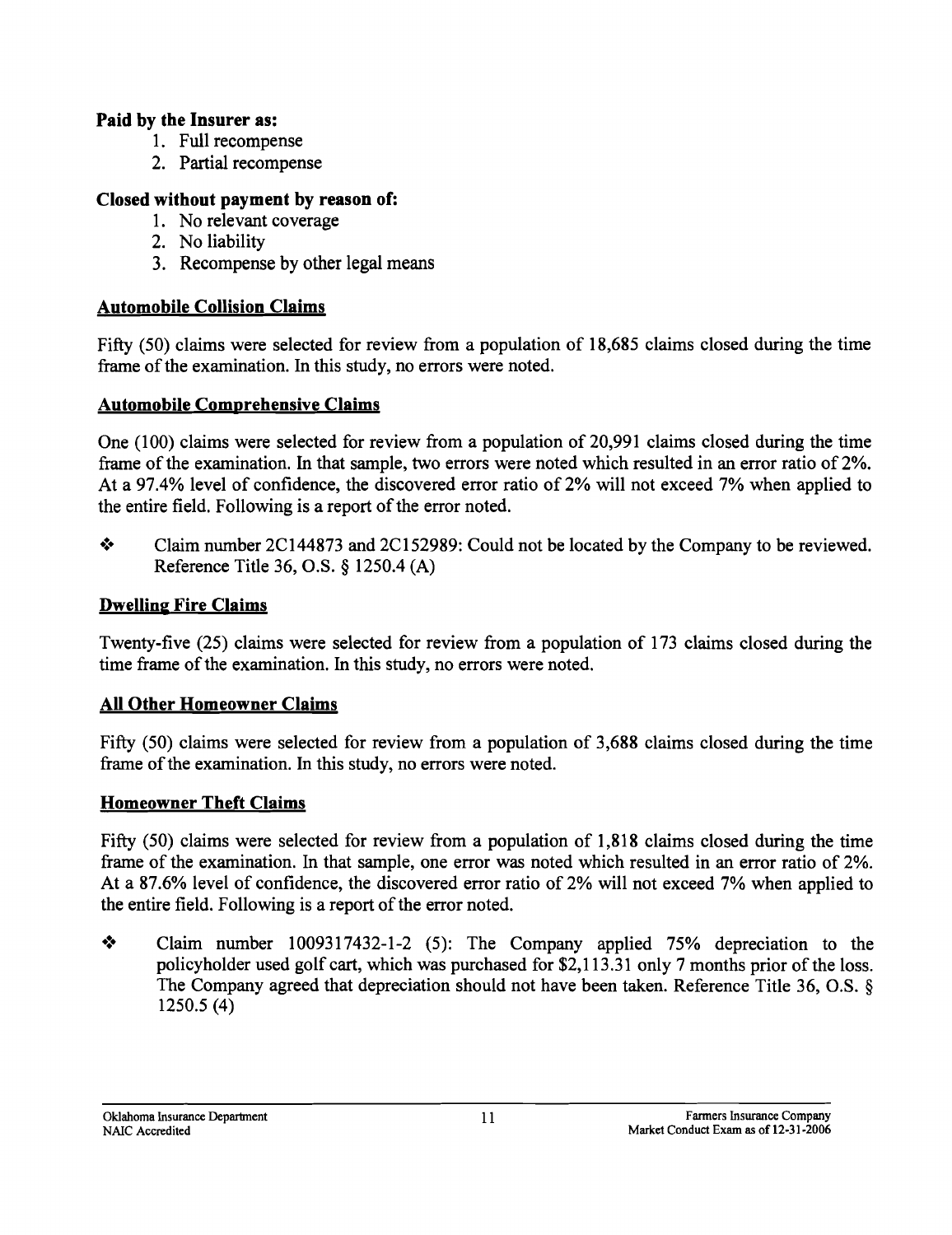### Paid by the Insurer as:

- 1. Full recompense
- 2. Partial recompense

### Closed without payment by reason of:

- 1. No relevant coverage
- 2. No liability
- 3. Recompense by other legal means

### Automobile Collision Claims

Fifty (50) claims were selected for review from a population of 18,685 claims closed during the time frame of the examination. In this study, no errors were noted.

### Automobile Comprehensive Claims

One (l00) claims were selected for review from a population of 20,991 claims closed during the time frame of the examination. In that sample, two errors were noted which resulted in an error ratio of2%. At a 97.4% level of confidence, the discovered error ratio of 2% will not exceed 7% when applied to the entire field. Following is a report of the error noted.

• Claim number 2C144873 and 2C152989: Could not be located by the Company to be reviewed. Reference Title 36, O.S. § 1250.4 (A)

### Dwelling Fire Claims

Twenty-five (25) claims were selected for review from a population of 173 claims closed during the time frame of the examination. In this study, no errors were noted.

### All Other Homeowner Claims

Fifty (50) claims were selected for review from a population of 3,688 claims closed during the time frame of the examination. In this study, no errors were noted.

### Homeowner Theft Claims

Fifty (50) claims were selected for review from a population of 1,818 claims closed during the time frame of the examination. In that sample, one error was noted which resulted in an error ratio of 2%. At a 87.6% level of confidence, the discovered error ratio of 2% will not exceed 7% when applied to the entire field. Following is a report of the error noted.

• Claim number 1009317432-1-2 (5): The Company applied 75% depreciation to the policyholder used golf cart, which was purchased for \$2,113.31 only 7 months prior of the loss. The Company agreed that depreciation should not have been taken. Reference Title 36, O.S. § 1250.5 (4)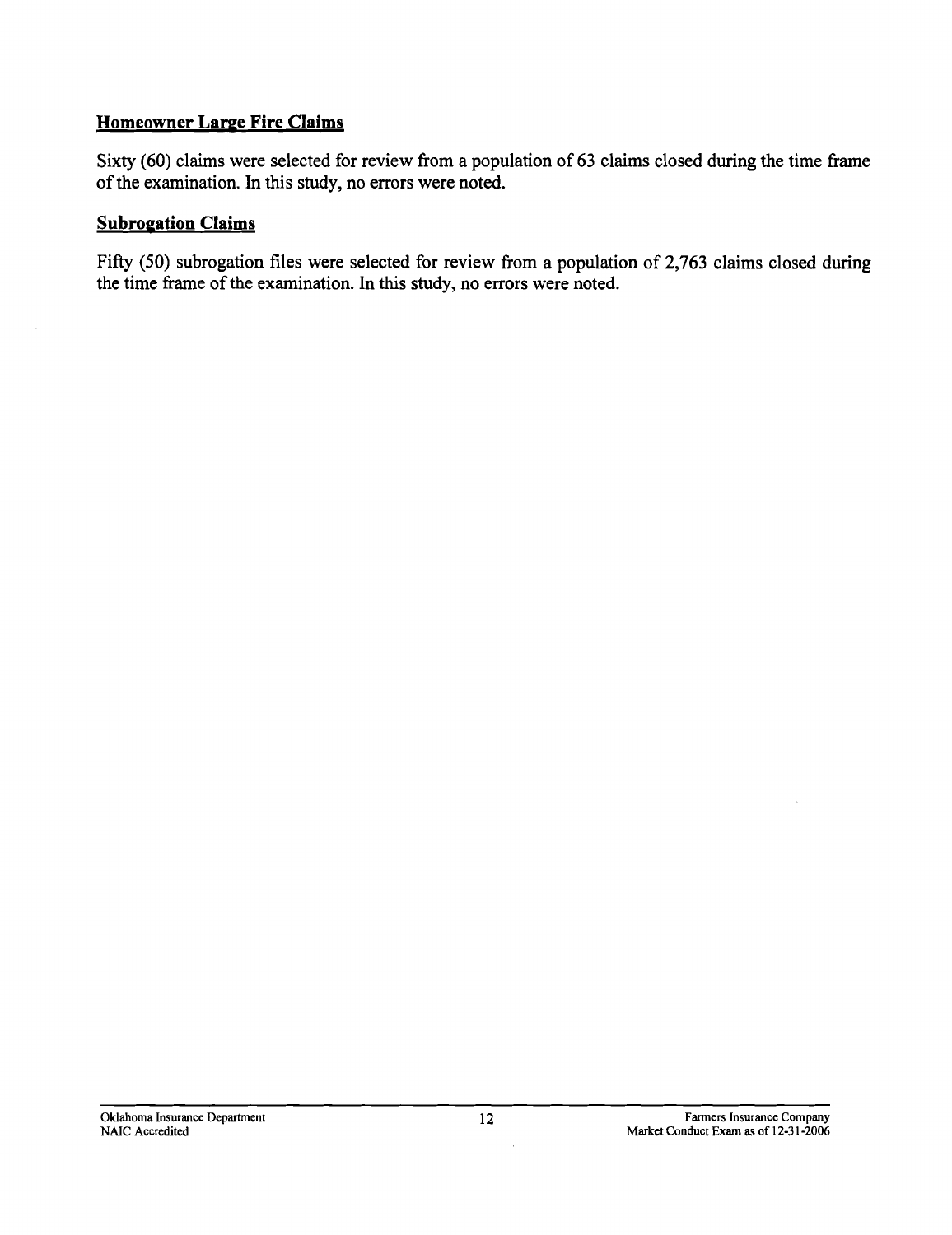### **Homeowner Large Fire Claims**

Sixty (60) claims were selected for review from a population of 63 claims closed during the time frame of the examination. In this study, no errors were noted.

#### **Subrogation Claims**

J.

Fifty (50) subrogation files were selected for review from a population of 2,763 claims closed during the time frame of the examination. In this study, no errors were noted.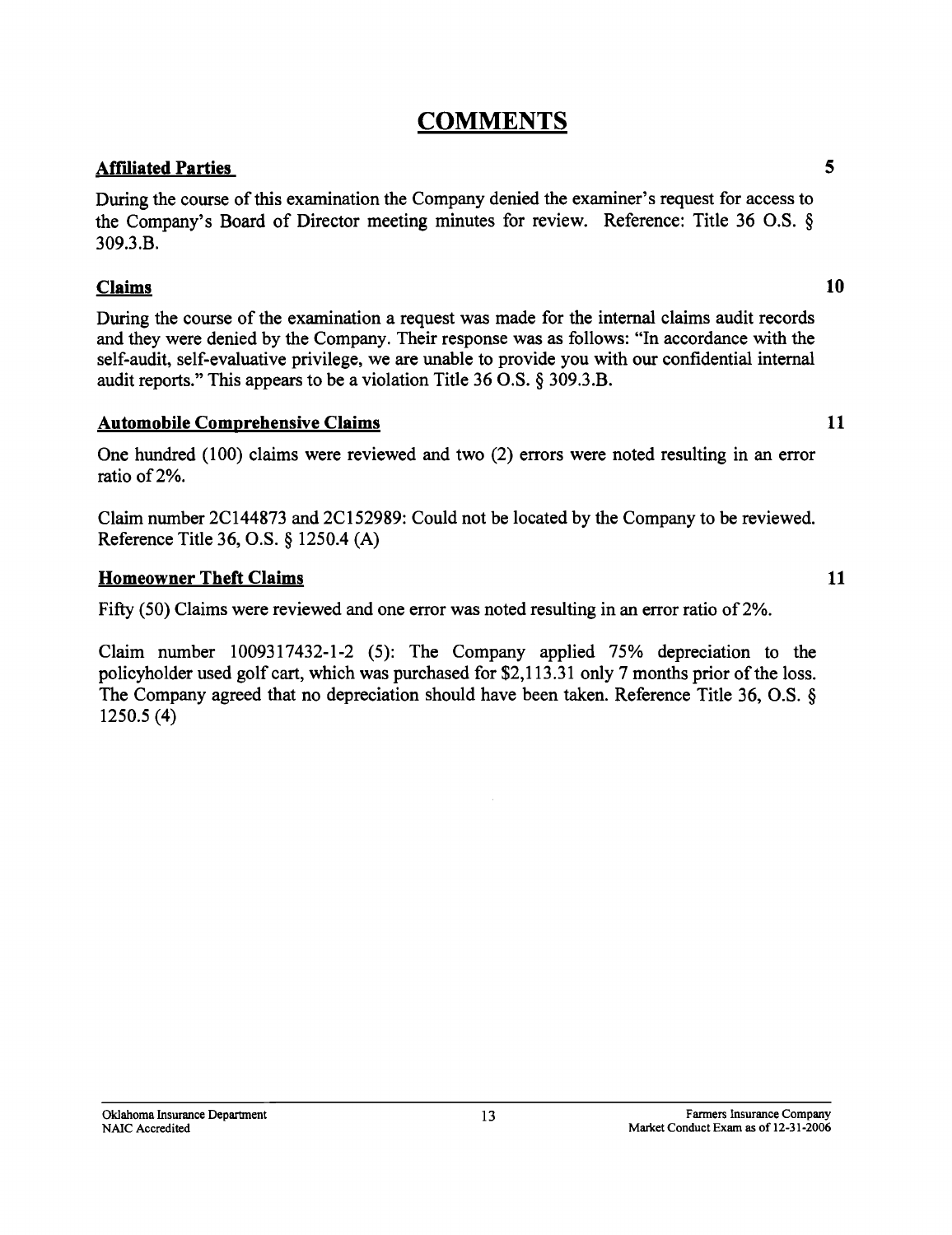## **COMMENTS**

#### **Aftlliated Parties** 5

During the course of this examination the Company denied the examiner's request for access to the Company's Board of Director meeting minutes for review. Reference: Title 36 O.S. § 309.3.B.

#### **Claims 10**

During the course of the examination a request was made for the internal claims audit records and they were denied by the Company. Their response was as follows: "In accordance with the self-audit, self-evaluative privilege, we are unable to provide you with our confidential internal audit reports." This appears to be a violation Title 36 O.S. § 309.3.B.

#### **Automobile Comprehensive Claims 11**

One hundred (100) claims were reviewed and two (2) errors were noted resulting in an error ratio of2%.

Claim number 2C144873 and 2C152989: Could not be located by the Company to be reviewed. Reference Title 36, O.S. § 1250.4 (A)

#### **Homeowner Theft Claims** 11

Fifty (50) Claims were reviewed and one error was noted resulting in an error ratio of 2%.

Claim number 1009317432-1-2 (5): The Company applied 75% depreciation to the policyholder used golf cart, which was purchased for \$2,113.31 only 7 months prior of the loss. The Company agreed that no depreciation should have been taken. Reference Title 36, O.S. § 1250.5 (4)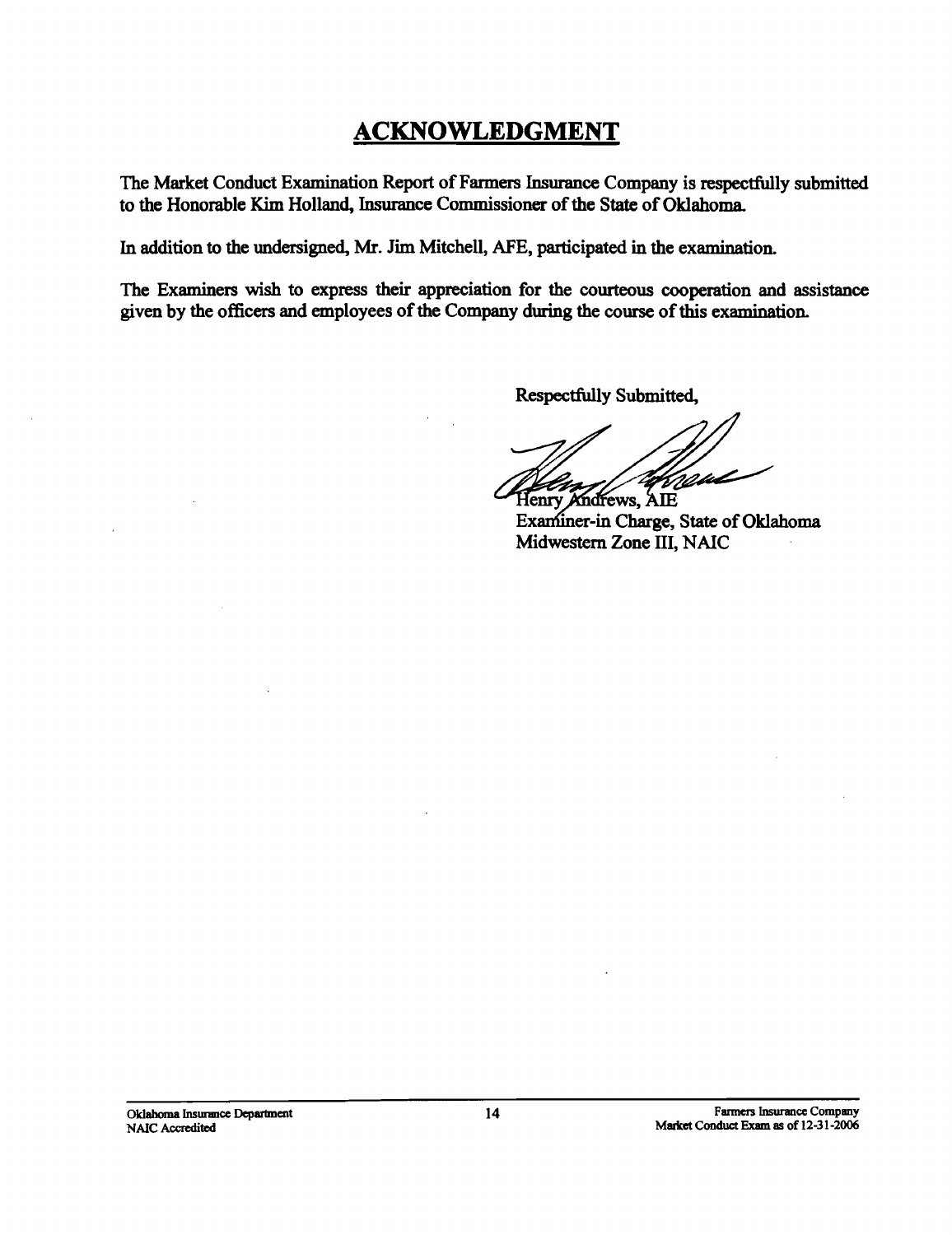# **ACKNOWLEDGMENT**

The Market Conduct Examination Report of Farmers Insurance Company is respectfully submitted to the Honorable Kim Holland, Insurance Commissioner of the State of Oklahoma.

In addition to the undersigned, Mr. Jim Mitchell, AFE, participated in the examination.

The Examiners wish to express their appreciation for the courteous cooperation and assistance given by the officers and employees of the Company during the course of this examination.

Respectfully Submitted,

Vissul

Henry Andrews, AIE Examiner-in Charge, State of Oklahoma Midwestern Zone III, NAIC